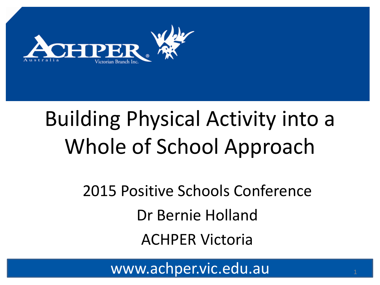

# Building Physical Activity into a Whole of School Approach

### 2015 Positive Schools Conference Dr Bernie Holland ACHPER Victoria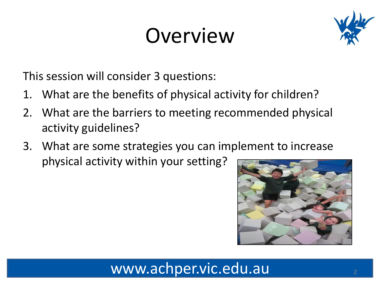# Overview



This session will consider 3 questions:

- 1. What are the benefits of physical activity for children?
- 2. What are the barriers to meeting recommended physical activity guidelines?
- 3. What are some strategies you can implement to increase physical activity within your setting?

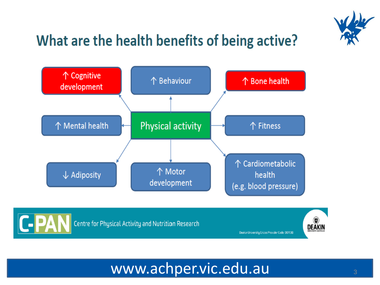

### What are the health benefits of being active?





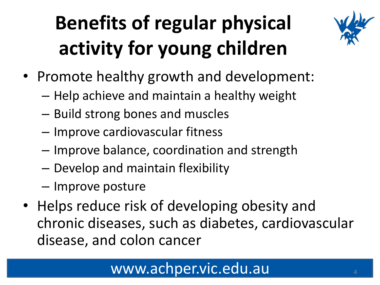# **Benefits of regular physical activity for young children**



- Promote healthy growth and development:
	- Help achieve and maintain a healthy weight
	- Build strong bones and muscles
	- Improve cardiovascular fitness
	- Improve balance, coordination and strength
	- Develop and maintain flexibility
	- Improve posture
- Helps reduce risk of developing obesity and chronic diseases, such as diabetes, cardiovascular disease, and colon cancer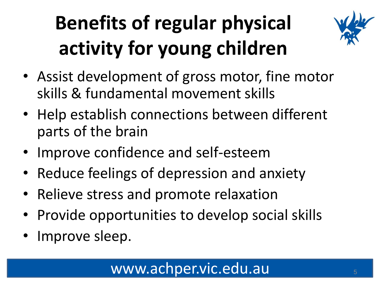# **Benefits of regular physical activity for young children**



- Assist development of gross motor, fine motor skills & fundamental movement skills
- Help establish connections between different parts of the brain
- Improve confidence and self-esteem
- Reduce feelings of depression and anxiety
- Relieve stress and promote relaxation
- Provide opportunities to develop social skills
- Improve sleep.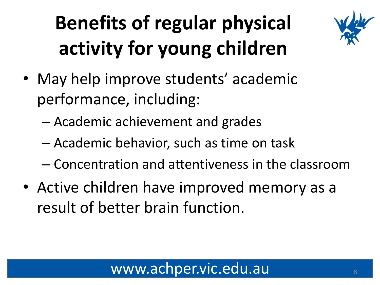# **Benefits of regular physical activity for young children**



- May help improve students' academic performance, including:
	- Academic achievement and grades
	- Academic behavior, such as time on task
	- Concentration and attentiveness in the classroom
- Active children have improved memory as a result of better brain function.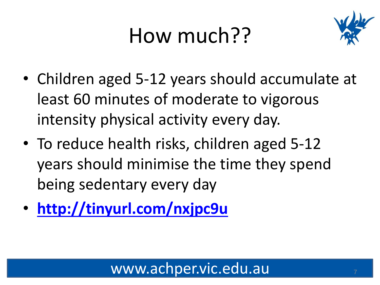# How much??



- Children aged 5-12 years should accumulate at least 60 minutes of moderate to vigorous intensity physical activity every day.
- To reduce health risks, children aged 5-12 years should minimise the time they spend being sedentary every day
- **<http://tinyurl.com/nxjpc9u>**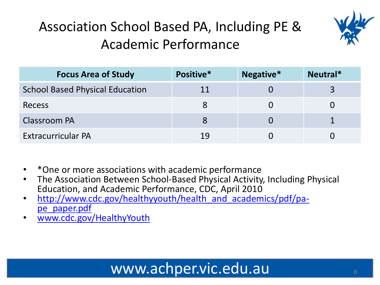

### Association School Based PA, Including PE & Academic Performance

| <b>Focus Area of Study</b>             | Positive* | Negative* | Neutral* |
|----------------------------------------|-----------|-----------|----------|
| <b>School Based Physical Education</b> | 11        |           |          |
| <b>Recess</b>                          | 8         |           |          |
| Classroom PA                           |           |           |          |
| <b>Extracurricular PA</b>              | 19        |           |          |

- \*One or more associations with academic performance
- The Association Between School-Based Physical Activity, Including Physical Education, and Academic Performance, CDC, April 2010
- [http://www.cdc.gov/healthyyouth/health\\_and\\_academics/pdf/pa](http://www.cdc.gov/HealthyYouth)pe paper.pdf
- [www.cdc.gov/HealthyYouth](http://www.cdc.gov/HealthyYouth)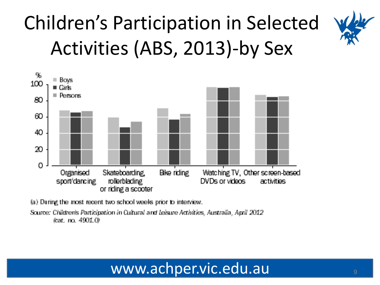# Children's Participation in Selected Activities (ABS, 2013)-by Sex



(a) During the most recent two school weeks prior to interview.

Source: Children's Participation in Cultural and Leisure Activities, Australia, April 2012 feat. no. 4901.0.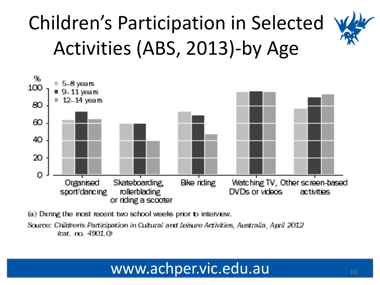# Children's Participation in Selected Activities (ABS, 2013)-by Age



(a) During the most recent two school weeks prior to interview.

Source: Children's Participation in Cultural and Leisure Activities, Australia, April 2012. (cat. no. 4901.0)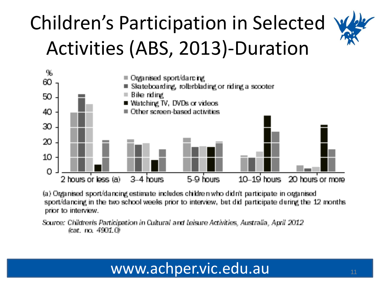# Children's Participation in Selected Activities (ABS, 2013)-Duration



(a) Organised sport/dancing estimate includes children who didn't participate in organised sport/dancing in the two school weeks prior to interview, but did participate during the 12 months. prior to interview.

Source: Children's Participation in Cultural and Leisure Activities, Australia, April 2012.  $\tan$ , no.  $4901.09$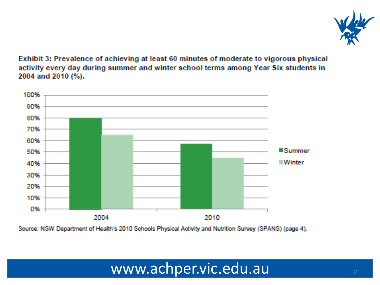

Exhibit 3: Prevalence of achieving at least 60 minutes of moderate to vigorous physical activity every day during summer and winter school terms among Year Six students in 2004 and 2010 (%).



Source: NSW Department of Health's 2010 Schools Physical Activity and Nutrition Survey (SPANS) (page 4).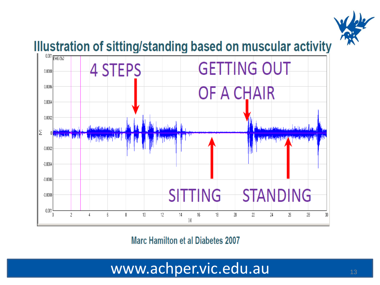

#### Illustration of sitting/standing based on muscular activity



**Marc Hamilton et al Diabetes 2007**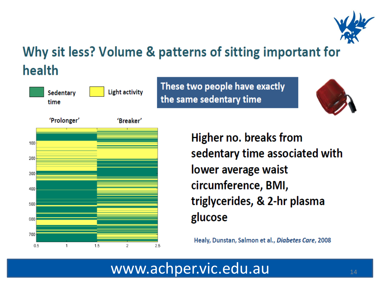

### Why sit less? Volume & patterns of sitting important for health



These two people have exactly the same sedentary time





**Higher no. breaks from** sedentary time associated with lower average waist circumference, BMI, triglycerides, & 2-hr plasma glucose

Healy, Dunstan, Salmon et al., Diabetes Care, 2008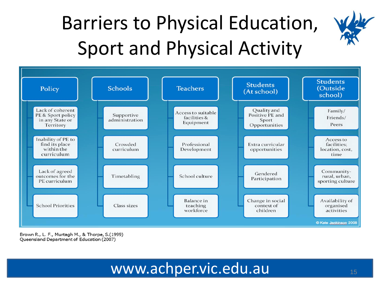### Barriers to Physical Education, Sport and Physical Activity



Brown R., L. F., Murtagh M., & Thorpe, S.(1999) Queensland Department of Education (2007)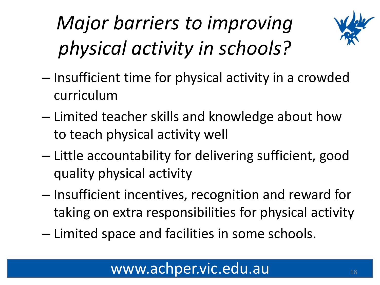# *Major barriers to improving physical activity in schools?*



- Insufficient time for physical activity in a crowded curriculum
- Limited teacher skills and knowledge about how to teach physical activity well
- Little accountability for delivering sufficient, good quality physical activity
- Insufficient incentives, recognition and reward for taking on extra responsibilities for physical activity
- Limited space and facilities in some schools.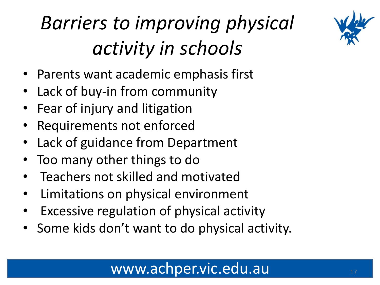

# *Barriers to improving physical activity in schools*

- Parents want academic emphasis first
- Lack of buy-in from community
- Fear of injury and litigation
- Requirements not enforced
- Lack of guidance from Department
- Too many other things to do
- Teachers not skilled and motivated
- Limitations on physical environment
- Excessive regulation of physical activity
- Some kids don't want to do physical activity.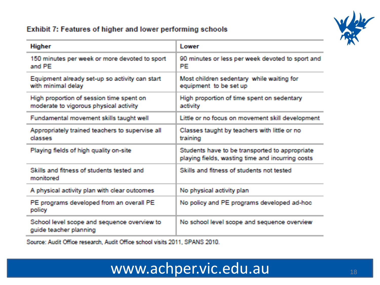#### Exhibit 7: Features of higher and lower performing schools



| <b>Higher</b>                                                                      | <b>Lewer</b>                                                                                       |
|------------------------------------------------------------------------------------|----------------------------------------------------------------------------------------------------|
| 150 minutes per week or more devoted to sport<br>and PE                            | 90 minutes or less per week devoted to sport and<br><b>PE</b>                                      |
| Equipment already set-up so activity can start<br>with minimal delay               | Most children sedentary while waiting for<br>equipment to be set up                                |
| High proportion of session time spent on<br>moderate to vigorous physical activity | High proportion of time spent on sedentary<br>activity                                             |
| Fundamental movement skills taught well                                            | Little or no focus on movement skill development                                                   |
| Appropriately trained teachers to supervise all<br>classes                         | Classes taught by teachers with little or no<br>training                                           |
| Playing fields of high quality on-site                                             | Students have to be transported to appropriate<br>playing fields, wasting time and incurring costs |
| Skills and fitness of students tested and<br>monitored                             | Skills and fitness of students not tested                                                          |
| A physical activity plan with clear outcomes                                       | No physical activity plan                                                                          |
| PE programs developed from an overall PE<br>policy                                 | No policy and PE programs developed ad-hoc                                                         |
| School level scope and sequence overview to<br>guide teacher planning              | No school level scope and sequence overview                                                        |

Source: Audit Office research, Audit Office school visits 2011, SPANS 2010.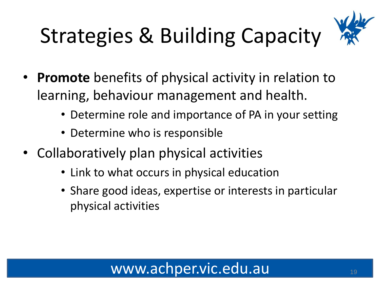# Strategies & Building Capacity



- **Promote** benefits of physical activity in relation to learning, behaviour management and health.
	- Determine role and importance of PA in your setting
	- Determine who is responsible
- Collaboratively plan physical activities
	- Link to what occurs in physical education
	- Share good ideas, expertise or interests in particular physical activities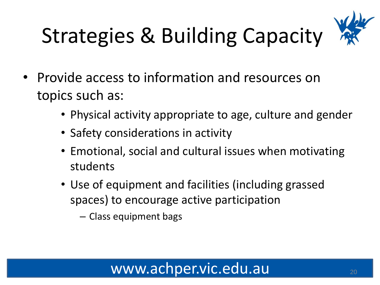# Strategies & Building Capacity



- Provide access to information and resources on topics such as:
	- Physical activity appropriate to age, culture and gender
	- Safety considerations in activity
	- Emotional, social and cultural issues when motivating students
	- Use of equipment and facilities (including grassed spaces) to encourage active participation
		- Class equipment bags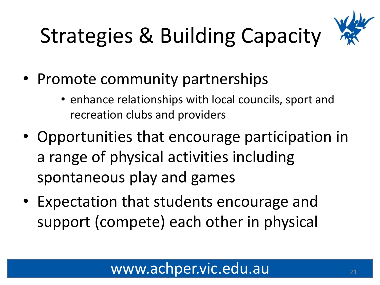# Strategies & Building Capacity



- Promote community partnerships
	- enhance relationships with local councils, sport and recreation clubs and providers
- Opportunities that encourage participation in a range of physical activities including spontaneous play and games
- Expectation that students encourage and support (compete) each other in physical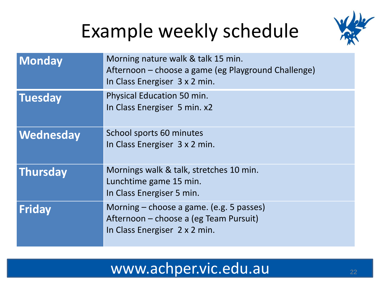### Example weekly schedule



| <b>Monday</b>    | Morning nature walk & talk 15 min.<br>Afternoon – choose a game (eg Playground Challenge)<br>In Class Energiser 3 x 2 min. |
|------------------|----------------------------------------------------------------------------------------------------------------------------|
| <b>Tuesday</b>   | <b>Physical Education 50 min.</b><br>In Class Energiser 5 min. x2                                                          |
| <b>Wednesday</b> | School sports 60 minutes<br>In Class Energiser 3 x 2 min.                                                                  |
| Thursday         | Mornings walk & talk, stretches 10 min.<br>Lunchtime game 15 min.<br>In Class Energiser 5 min.                             |
| Friday           | Morning – choose a game. (e.g. 5 passes)<br>Afternoon – choose a (eg Team Pursuit)<br>In Class Energiser 2 x 2 min.        |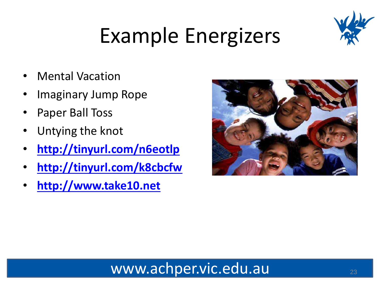

# Example Energizers

- **Mental Vacation**
- Imaginary Jump Rope
- Paper Ball Toss
- Untying the knot
- **<http://tinyurl.com/n6eotlp>**
- **<http://tinyurl.com/k8cbcfw>**
- **[http://www.take10.net](http://www.take10.net/)**